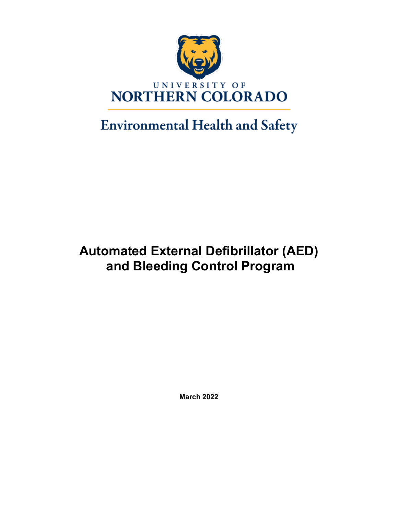

# **Environmental Health and Safety**

# **Automated External Defibrillator (AED) and Bleeding Control Program**

**March 2022**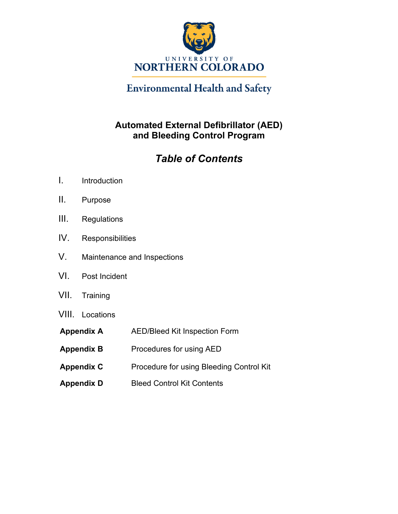

## **Environmental Health and Safety**

### **Automated External Defibrillator (AED) and Bleeding Control Program**

## *Table of Contents*

- I. Introduction
- II. Purpose
- III. Regulations
- IV. Responsibilities
- V. Maintenance and Inspections
- VI. Post Incident
- VII. Training
- VIII. Locations
- **Appendix A** AED/Bleed Kit Inspection Form
- **Appendix B** Procedures for using AED
- **Appendix C** Procedure for using Bleeding Control Kit
- **Appendix D** Bleed Control Kit Contents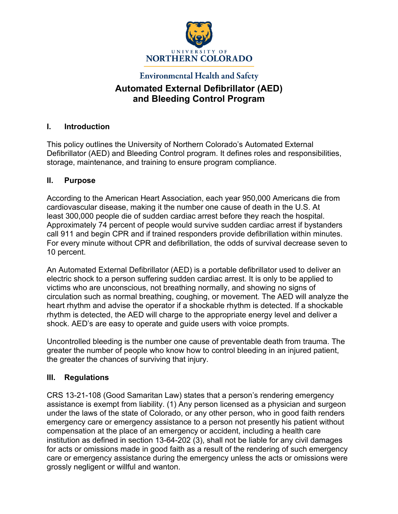

### **Environmental Health and Safety Automated External Defibrillator (AED) and Bleeding Control Program**

#### **I. Introduction**

This policy outlines the University of Northern Colorado's Automated External Defibrillator (AED) and Bleeding Control program. It defines roles and responsibilities, storage, maintenance, and training to ensure program compliance.

#### **II. Purpose**

According to the American Heart Association, each year 950,000 Americans die from cardiovascular disease, making it the number one cause of death in the U.S. At least 300,000 people die of sudden cardiac arrest before they reach the hospital. Approximately 74 percent of people would survive sudden cardiac arrest if bystanders call 911 and begin CPR and if trained responders provide defibrillation within minutes. For every minute without CPR and defibrillation, the odds of survival decrease seven to 10 percent.

An Automated External Defibrillator (AED) is a portable defibrillator used to deliver an electric shock to a person suffering sudden cardiac arrest. It is only to be applied to victims who are unconscious, not breathing normally, and showing no signs of circulation such as normal breathing, coughing, or movement. The AED will analyze the heart rhythm and advise the operator if a shockable rhythm is detected. If a shockable rhythm is detected, the AED will charge to the appropriate energy level and deliver a shock. AED's are easy to operate and guide users with voice prompts.

Uncontrolled bleeding is the number one cause of preventable death from trauma. The greater the number of people who know how to control bleeding in an injured patient, the greater the chances of surviving that injury.

#### **III. Regulations**

CRS 13-21-108 (Good Samaritan Law) states that a person's rendering emergency assistance is exempt from liability. (1) Any person licensed as a physician and surgeon under the laws of the state of Colorado, or any other person, who in good faith renders emergency care or emergency assistance to a person not presently his patient without compensation at the place of an emergency or accident, including a health care institution as defined in section 13-64-202 (3), shall not be liable for any civil damages for acts or omissions made in good faith as a result of the rendering of such emergency care or emergency assistance during the emergency unless the acts or omissions were grossly negligent or willful and wanton.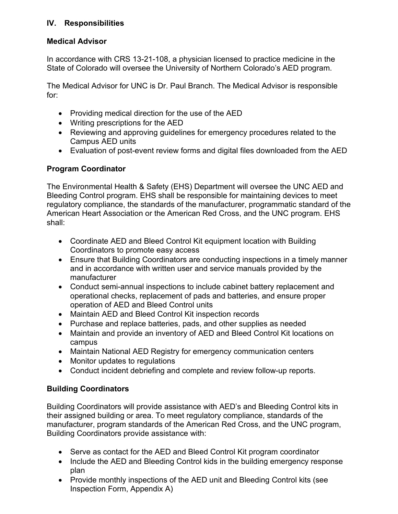#### **IV. Responsibilities**

#### **Medical Advisor**

In accordance with CRS 13-21-108, a physician licensed to practice medicine in the State of Colorado will oversee the University of Northern Colorado's AED program.

The Medical Advisor for UNC is Dr. Paul Branch. The Medical Advisor is responsible for:

- Providing medical direction for the use of the AED
- Writing prescriptions for the AED
- Reviewing and approving guidelines for emergency procedures related to the Campus AED units
- Evaluation of post-event review forms and digital files downloaded from the AED

#### **Program Coordinator**

The Environmental Health & Safety (EHS) Department will oversee the UNC AED and Bleeding Control program. EHS shall be responsible for maintaining devices to meet regulatory compliance, the standards of the manufacturer, programmatic standard of the American Heart Association or the American Red Cross, and the UNC program. EHS shall:

- Coordinate AED and Bleed Control Kit equipment location with Building Coordinators to promote easy access
- Ensure that Building Coordinators are conducting inspections in a timely manner and in accordance with written user and service manuals provided by the manufacturer
- Conduct semi-annual inspections to include cabinet battery replacement and operational checks, replacement of pads and batteries, and ensure proper operation of AED and Bleed Control units
- Maintain AED and Bleed Control Kit inspection records
- Purchase and replace batteries, pads, and other supplies as needed
- Maintain and provide an inventory of AED and Bleed Control Kit locations on campus
- Maintain National AED Registry for emergency communication centers
- Monitor updates to regulations
- Conduct incident debriefing and complete and review follow-up reports.

#### **Building Coordinators**

Building Coordinators will provide assistance with AED's and Bleeding Control kits in their assigned building or area. To meet regulatory compliance, standards of the manufacturer, program standards of the American Red Cross, and the UNC program, Building Coordinators provide assistance with:

- Serve as contact for the AED and Bleed Control Kit program coordinator
- Include the AED and Bleeding Control kids in the building emergency response plan
- Provide monthly inspections of the AED unit and Bleeding Control kits (see Inspection Form, Appendix A)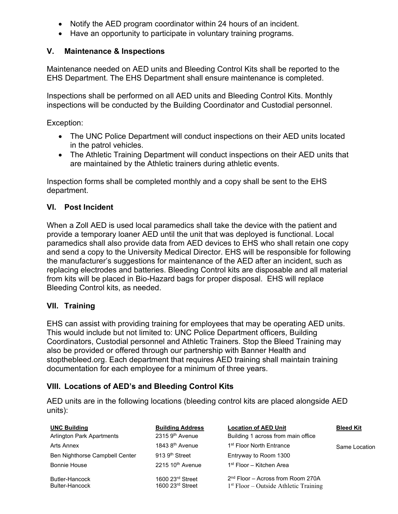- Notify the AED program coordinator within 24 hours of an incident.
- Have an opportunity to participate in voluntary training programs.

#### **V. Maintenance & Inspections**

Maintenance needed on AED units and Bleeding Control Kits shall be reported to the EHS Department. The EHS Department shall ensure maintenance is completed.

Inspections shall be performed on all AED units and Bleeding Control Kits. Monthly inspections will be conducted by the Building Coordinator and Custodial personnel.

Exception:

- The UNC Police Department will conduct inspections on their AED units located in the patrol vehicles.
- The Athletic Training Department will conduct inspections on their AED units that are maintained by the Athletic trainers during athletic events.

Inspection forms shall be completed monthly and a copy shall be sent to the EHS department.

#### **VI. Post Incident**

When a Zoll AED is used local paramedics shall take the device with the patient and provide a temporary loaner AED until the unit that was deployed is functional. Local paramedics shall also provide data from AED devices to EHS who shall retain one copy and send a copy to the University Medical Director. EHS will be responsible for following the manufacturer's suggestions for maintenance of the AED after an incident, such as replacing electrodes and batteries. Bleeding Control kits are disposable and all material from kits will be placed in Bio-Hazard bags for proper disposal. EHS will replace Bleeding Control kits, as needed.

#### **VII. Training**

EHS can assist with providing training for employees that may be operating AED units. This would include but not limited to: UNC Police Department officers, Building Coordinators, Custodial personnel and Athletic Trainers. Stop the Bleed Training may also be provided or offered through our partnership with Banner Health and stopthebleed.org. Each department that requires AED training shall maintain training documentation for each employee for a minimum of three years.

#### **VIII. Locations of AED's and Bleeding Control Kits**

AED units are in the following locations (bleeding control kits are placed alongside AED units):

| <b>UNC Building</b>                     | <b>Building Address</b>                | <b>Location of AED Unit</b>                                                    | <b>Bleed Kit</b> |
|-----------------------------------------|----------------------------------------|--------------------------------------------------------------------------------|------------------|
| <b>Arlington Park Apartments</b>        | $2315.9th$ Avenue                      | Building 1 across from main office                                             |                  |
| Arts Annex                              | 1843 8 <sup>th</sup> Avenue            | 1 <sup>st</sup> Floor North Entrance                                           | Same Location    |
| Ben Nighthorse Campbell Center          | 913 9 <sup>th</sup> Street             | Entryway to Room 1300                                                          |                  |
| <b>Bonnie House</b>                     | $2215$ 10 <sup>th</sup> Avenue         | 1 <sup>st</sup> Floor – Kitchen Area                                           |                  |
| Butler-Hancock<br><b>Bulter-Hancock</b> | 1600 23rd Street<br>1600 $23rd$ Street | $2nd$ Floor – Across from Room 270A<br>$1st Floor – Outside Athletic Training$ |                  |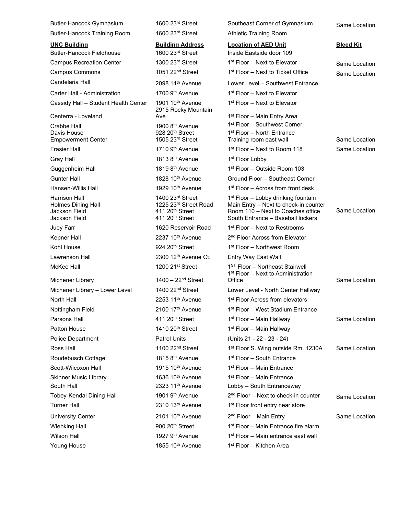| Butler-Hancock Gymnasium                                    | 1600 23rd Street                                                                    | Southeast Corner of Gymnasium                                                                                   | Same Location    |
|-------------------------------------------------------------|-------------------------------------------------------------------------------------|-----------------------------------------------------------------------------------------------------------------|------------------|
| <b>Butler-Hancock Training Room</b>                         | 1600 23rd Street                                                                    | <b>Athletic Training Room</b>                                                                                   |                  |
| <b>UNC Building</b><br><b>Butler-Hancock Fieldhouse</b>     | <b>Building Address</b><br>1600 23rd Street                                         | <b>Location of AED Unit</b><br>Inside Eastside door 109                                                         | <b>Bleed Kit</b> |
| <b>Campus Recreation Center</b>                             | 1300 23rd Street                                                                    | 1 <sup>st</sup> Floor – Next to Elevator                                                                        | Same Location    |
| <b>Campus Commons</b>                                       | 1051 22 <sup>nd</sup> Street                                                        | 1 <sup>st</sup> Floor – Next to Ticket Office                                                                   | Same Location    |
| Candelaria Hall                                             | 2098 14th Avenue                                                                    | Lower Level - Southwest Entrance                                                                                |                  |
| Carter Hall - Administration                                | 1700 9 <sup>th</sup> Avenue                                                         | 1 <sup>st</sup> Floor – Next to Elevator                                                                        |                  |
| Cassidy Hall - Student Health Center                        | 1901 10 <sup>th</sup> Avenue<br>2915 Rocky Mountain                                 | 1 <sup>st</sup> Floor – Next to Elevator                                                                        |                  |
| Centerra - Loveland                                         | Ave                                                                                 | 1 <sup>st</sup> Floor – Main Entry Area                                                                         |                  |
| Crabbe Hall<br>Davis House<br><b>Empowerment Center</b>     | 1900 8 <sup>th</sup> Avenue<br>928 20 <sup>th</sup> Street<br>1505 23rd Street      | 1 <sup>st</sup> Floor – Southwest Corner<br>1 <sup>st</sup> Floor - North Entrance<br>Training room east wall   | Same Location    |
| <b>Frasier Hall</b>                                         | 1710 9 <sup>th</sup> Avenue                                                         | 1 <sup>st</sup> Floor - Next to Room 118                                                                        | Same Location    |
| Gray Hall                                                   | 1813 8 <sup>th</sup> Avenue                                                         | 1 <sup>st</sup> Floor Lobby                                                                                     |                  |
| Guggenheim Hall                                             | 1819 8 <sup>th</sup> Avenue                                                         | 1 <sup>st</sup> Floor – Outside Room 103                                                                        |                  |
| <b>Gunter Hall</b>                                          | 1828 10 <sup>th</sup> Avenue                                                        | Ground Floor - Southeast Corner                                                                                 |                  |
| Hansen-Willis Hall                                          | 1929 10 <sup>th</sup> Avenue                                                        | 1 <sup>st</sup> Floor – Across from front desk                                                                  |                  |
| Harrison Hall                                               | 1400 23rd Street                                                                    | 1 <sup>st</sup> Floor – Lobby drinking fountain                                                                 |                  |
| <b>Holmes Dining Hall</b><br>Jackson Field<br>Jackson Field | 1225 23rd Street Road<br>411 20 <sup>th</sup> Street<br>411 20 <sup>th</sup> Street | Main Entry - Next to check-in counter<br>Room 110 - Next to Coaches office<br>South Entrance - Baseball lockers | Same Location    |
| Judy Farr                                                   | 1620 Reservoir Road                                                                 | 1st Floor – Next to Restrooms                                                                                   |                  |
| Kepner Hall                                                 | 2237 10 <sup>th</sup> Avenue                                                        | 2 <sup>nd</sup> Floor Across from Elevator                                                                      |                  |
| Kohl House                                                  | 924 20 <sup>th</sup> Street                                                         | 1st Floor - Northwest Room                                                                                      |                  |
| Lawrenson Hall                                              | 2300 12th Avenue Ct.                                                                | Entry Way East Wall                                                                                             |                  |
| McKee Hall                                                  | 1200 21st Street                                                                    | 1ST Floor - Northeast Stairwell<br>1 <sup>st</sup> Floor – Next to Administration                               |                  |
| Michener Library                                            | $1400 - 22nd$ Street                                                                | Office                                                                                                          | Same Location    |
| Michener Library - Lower Level                              | 1400 22 <sup>nd</sup> Street                                                        | Lower Level - North Center Hallway                                                                              |                  |
| North Hall                                                  | $2253$ 11 <sup>th</sup> Avenue                                                      | 1 <sup>st</sup> Floor Across from elevators                                                                     |                  |
| Nottingham Field                                            | 2100 17th Avenue                                                                    | 1 <sup>st</sup> Floor – West Stadium Entrance                                                                   |                  |
| Parsons Hall                                                | 411 20 <sup>th</sup> Street                                                         | 1 <sup>st</sup> Floor – Main Hallway                                                                            | Same Location    |
| <b>Patton House</b>                                         | 1410 20 <sup>th</sup> Street                                                        | 1 <sup>st</sup> Floor - Main Hallway                                                                            |                  |
| Police Department                                           | <b>Patrol Units</b>                                                                 | (Units 21 - 22 - 23 - 24)                                                                                       |                  |
| Ross Hall                                                   | 1100 $22nd$ Street                                                                  | 1st Floor S. Wing outside Rm. 1230A                                                                             | Same Location    |
| Roudebusch Cottage                                          | 1815 8 <sup>th</sup> Avenue                                                         | 1st Floor - South Entrance                                                                                      |                  |
| Scott-Wilcoxon Hall                                         | 1915 10 <sup>th</sup> Avenue                                                        | 1 <sup>st</sup> Floor - Main Entrance                                                                           |                  |
| <b>Skinner Music Library</b><br>South Hall                  | 1636 10 <sup>th</sup> Avenue<br>2323 11 <sup>th</sup> Avenue                        | 1 <sup>st</sup> Floor - Main Entrance                                                                           |                  |
| Tobey-Kendal Dining Hall                                    | 1901 9 <sup>th</sup> Avenue                                                         | Lobby - South Entranceway<br>$2nd$ Floor – Next to check-in counter                                             |                  |
| <b>Turner Hall</b>                                          | 2310 13 <sup>th</sup> Avenue                                                        | 1 <sup>st</sup> Floor front entry near store                                                                    | Same Location    |
|                                                             |                                                                                     |                                                                                                                 |                  |
| <b>University Center</b>                                    | 2101 10 <sup>th</sup> Avenue                                                        | 2 <sup>nd</sup> Floor - Main Entry                                                                              | Same Location    |
| <b>Wiebking Hall</b>                                        | $900 20th$ Street                                                                   | 1 <sup>st</sup> Floor – Main Entrance fire alarm                                                                |                  |
| <b>Wilson Hall</b>                                          | 1927 9 <sup>th</sup> Avenue                                                         | 1 <sup>st</sup> Floor – Main entrance east wall                                                                 |                  |
| Young House                                                 | 1855 10 <sup>th</sup> Avenue                                                        | 1 <sup>st</sup> Floor - Kitchen Area                                                                            |                  |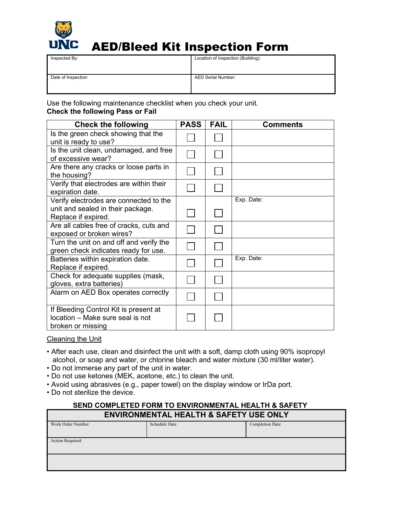

# AED/Bleed Kit Inspection Form

| Inspected By:      | Location of Inspection (Building): |
|--------------------|------------------------------------|
| Date of Inspection | <b>AED Serial Number:</b>          |

Use the following maintenance checklist when you check your unit. **Check the following Pass or Fail**

| <b>Check the following</b>                                                                     | <b>PASS</b> | <b>FAIL</b> | <b>Comments</b> |
|------------------------------------------------------------------------------------------------|-------------|-------------|-----------------|
| Is the green check showing that the<br>unit is ready to use?                                   |             |             |                 |
| Is the unit clean, undamaged, and free<br>of excessive wear?                                   |             |             |                 |
| Are there any cracks or loose parts in<br>the housing?                                         |             |             |                 |
| Verify that electrodes are within their<br>expiration date.                                    |             |             |                 |
| Verify electrodes are connected to the                                                         |             |             | Exp. Date:      |
| unit and sealed in their package.<br>Replace if expired.                                       |             |             |                 |
| Are all cables free of cracks, cuts and<br>exposed or broken wires?                            |             |             |                 |
| Turn the unit on and off and verify the<br>green check indicates ready for use.                |             |             |                 |
| Batteries within expiration date.<br>Replace if expired.                                       |             |             | Exp. Date:      |
| Check for adequate supplies (mask,<br>gloves, extra batteries)                                 |             |             |                 |
| Alarm on AED Box operates correctly                                                            |             |             |                 |
| If Bleeding Control Kit is present at<br>location - Make sure seal is not<br>broken or missing |             |             |                 |

Cleaning the Unit

- After each use, clean and disinfect the unit with a soft, damp cloth using 90% isopropyl alcohol, or soap and water, or chlorine bleach and water mixture (30 ml/liter water).
- Do not immerse any part of the unit in water.
- Do not use ketones (MEK, acetone, etc.) to clean the unit.
- Avoid using abrasives (e.g., paper towel) on the display window or IrDa port.
- Do not sterilize the device.

#### **SEND COMPLETED FORM TO ENVIRONMENTAL HEALTH & SAFETY ENVIRONMENTAL HEALTH & SAFETY USE ONLY**

| Work Order Number | Schedule Date | <b>Completion Date</b> |  |
|-------------------|---------------|------------------------|--|
|                   |               |                        |  |
|                   |               |                        |  |
|                   |               |                        |  |
| Action Required:  |               |                        |  |
|                   |               |                        |  |
|                   |               |                        |  |
|                   |               |                        |  |
|                   |               |                        |  |
|                   |               |                        |  |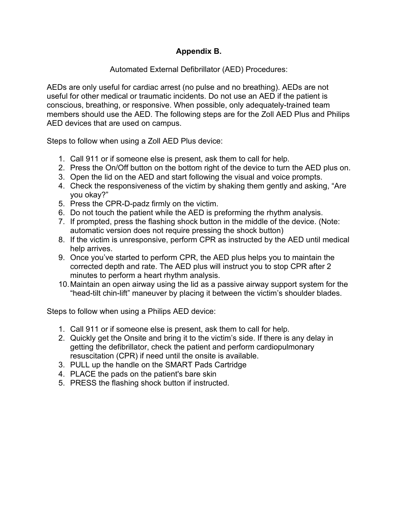#### **Appendix B.**

#### Automated External Defibrillator (AED) Procedures:

AEDs are only useful for cardiac arrest (no pulse and no breathing). AEDs are not useful for other medical or traumatic incidents. Do not use an AED if the patient is conscious, breathing, or responsive. When possible, only adequately-trained team members should use the AED. The following steps are for the Zoll AED Plus and Philips AED devices that are used on campus.

Steps to follow when using a Zoll AED Plus device:

- 1. Call 911 or if someone else is present, ask them to call for help.
- 2. Press the On/Off button on the bottom right of the device to turn the AED plus on.
- 3. Open the lid on the AED and start following the visual and voice prompts.
- 4. Check the responsiveness of the victim by shaking them gently and asking, "Are you okay?"
- 5. Press the CPR-D-padz firmly on the victim.
- 6. Do not touch the patient while the AED is preforming the rhythm analysis.
- 7. If prompted, press the flashing shock button in the middle of the device. (Note: automatic version does not require pressing the shock button)
- 8. If the victim is unresponsive, perform CPR as instructed by the AED until medical help arrives.
- 9. Once you've started to perform CPR, the AED plus helps you to maintain the corrected depth and rate. The AED plus will instruct you to stop CPR after 2 minutes to perform a heart rhythm analysis.
- 10.Maintain an open airway using the lid as a passive airway support system for the "head-tilt chin-lift" maneuver by placing it between the victim's shoulder blades.

Steps to follow when using a Philips AED device:

- 1. Call 911 or if someone else is present, ask them to call for help.
- 2. Quickly get the Onsite and bring it to the victim's side. If there is any delay in getting the defibrillator, check the patient and perform cardiopulmonary resuscitation (CPR) if need until the onsite is available.
- 3. PULL up the handle on the SMART Pads Cartridge
- 4. PLACE the pads on the patient's bare skin
- 5. PRESS the flashing shock button if instructed.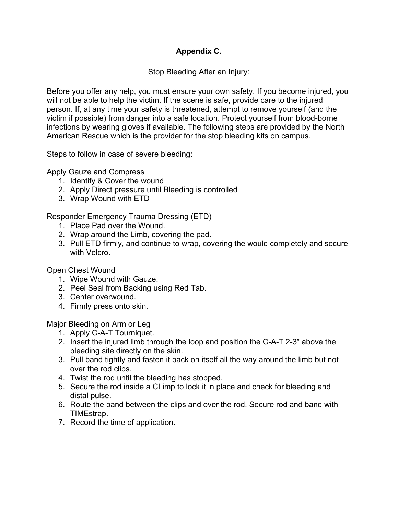#### **Appendix C.**

Stop Bleeding After an Injury:

Before you offer any help, you must ensure your own safety. If you become injured, you will not be able to help the victim. If the scene is safe, provide care to the injured person. If, at any time your safety is threatened, attempt to remove yourself (and the victim if possible) from danger into a safe location. Protect yourself from blood-borne infections by wearing gloves if available. The following steps are provided by the North American Rescue which is the provider for the stop bleeding kits on campus.

Steps to follow in case of severe bleeding:

Apply Gauze and Compress

- 1. Identify & Cover the wound
- 2. Apply Direct pressure until Bleeding is controlled
- 3. Wrap Wound with ETD

Responder Emergency Trauma Dressing (ETD)

- 1. Place Pad over the Wound.
- 2. Wrap around the Limb, covering the pad.
- 3. Pull ETD firmly, and continue to wrap, covering the would completely and secure with Velcro.

Open Chest Wound

- 1. Wipe Wound with Gauze.
- 2. Peel Seal from Backing using Red Tab.
- 3. Center overwound.
- 4. Firmly press onto skin.

Major Bleeding on Arm or Leg

- 1. Apply C-A-T Tourniquet.
- 2. Insert the injured limb through the loop and position the C-A-T 2-3" above the bleeding site directly on the skin.
- 3. Pull band tightly and fasten it back on itself all the way around the limb but not over the rod clips.
- 4. Twist the rod until the bleeding has stopped.
- 5. Secure the rod inside a CLimp to lock it in place and check for bleeding and distal pulse.
- 6. Route the band between the clips and over the rod. Secure rod and band with TIMEstrap.
- 7. Record the time of application.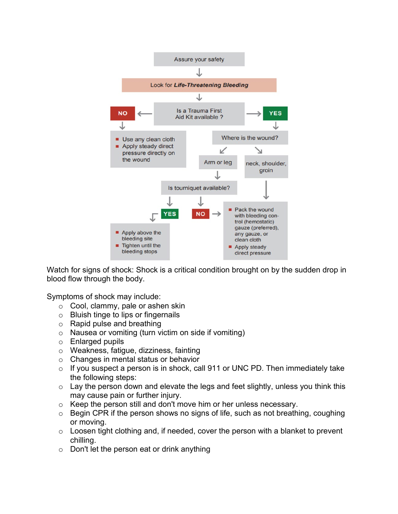

Watch for signs of shock: Shock is a critical condition brought on by the sudden drop in blood flow through the body.

Symptoms of shock may include:

- o Cool, clammy, pale or ashen skin
- o Bluish tinge to lips or fingernails
- $\circ$  Rapid pulse and breathing
- $\circ$  Nausea or vomiting (turn victim on side if vomiting)
- o Enlarged pupils
- o Weakness, fatigue, dizziness, fainting
- o Changes in mental status or behavior
- $\circ$  If you suspect a person is in shock, call 911 or UNC PD. Then immediately take the following steps:
- $\circ$  Lay the person down and elevate the legs and feet slightly, unless you think this may cause pain or further injury.
- o Keep the person still and don't move him or her unless necessary.
- $\circ$  Begin CPR if the person shows no signs of life, such as not breathing, coughing or moving.
- $\circ$  Loosen tight clothing and, if needed, cover the person with a blanket to prevent chilling.
- $\circ$  Don't let the person eat or drink anything